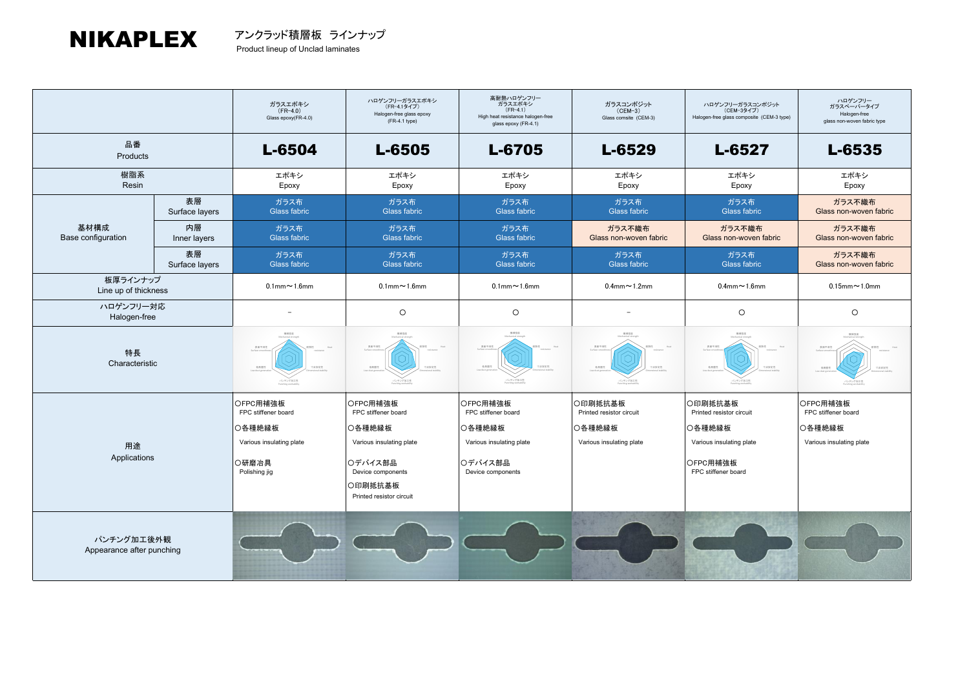## NIKAPLEX

|                                         |                      | ガラスエポキシ<br>$(FR-4.0)$<br>Glass epoxy(FR-4.0)                                                    | ハロゲンフリーガラスエポキシ<br>(FR-4.1タイプ)<br>Halogen-free glass epoxy<br>$(FR-4.1$ type)                                                                 | 高耐熱ハロゲンフリー<br>ガラスエポキシ<br>$(FR-4.1)$<br>High heat resistance halogen-free<br>glass epoxy (FR-4.1)      | ガラスコンポジット<br>$(CEM-3)$<br>Glass comsite (CEM-3)                           | ハロゲンフリーガラスコンポジット<br>(CEM-3タイプ)<br>Halogen-free glass composite (CEM-3 type)                                  | ハロゲンフリー<br>ガラスペーパータイプ<br>Halogen-free<br>glass non-woven fabric type  |
|-----------------------------------------|----------------------|-------------------------------------------------------------------------------------------------|----------------------------------------------------------------------------------------------------------------------------------------------|-------------------------------------------------------------------------------------------------------|---------------------------------------------------------------------------|--------------------------------------------------------------------------------------------------------------|-----------------------------------------------------------------------|
| 品番<br>Products                          |                      | L-6504                                                                                          | L-6505                                                                                                                                       | L-6705                                                                                                | L-6529                                                                    | L-6527                                                                                                       | L-6535                                                                |
| 樹脂系<br>Resin                            |                      | エポキシ<br>Epoxy                                                                                   | エポキシ<br>Epoxy                                                                                                                                | エポキシ<br>Epoxy                                                                                         | エポキシ<br>Epoxy                                                             | エポキシ<br>Epoxy                                                                                                | エポキシ<br>Epoxy                                                         |
| 基材構成<br>Base configuration              | 表層<br>Surface layers | ガラス布<br><b>Glass fabric</b>                                                                     | ガラス布<br>Glass fabric                                                                                                                         | ガラス布<br>Glass fabric                                                                                  | ガラス布<br><b>Glass fabric</b>                                               | ガラス布<br>Glass fabric                                                                                         | ガラス不織布<br>Glass non-woven fabric                                      |
|                                         | 内層<br>Inner layers   | ガラス布<br><b>Glass fabric</b>                                                                     | ガラス布<br><b>Glass fabric</b>                                                                                                                  | ガラス布<br>Glass fabric                                                                                  | ガラス不織布<br>Glass non-woven fabric                                          | ガラス不織布<br>Glass non-woven fabric                                                                             | ガラス不織布<br>Glass non-woven fabric                                      |
|                                         | 表層<br>Surface layers | ガラス布<br><b>Glass fabric</b>                                                                     | ガラス布<br><b>Glass fabric</b>                                                                                                                  | ガラス布<br>Glass fabric                                                                                  | ガラス布<br><b>Glass fabric</b>                                               | ガラス布<br>Glass fabric                                                                                         | ガラス不織布<br>Glass non-woven fabric                                      |
| 板厚ラインナップ<br>Line up of thickness        |                      | $0.1$ mm $\sim$ 1.6mm                                                                           | $0.1$ mm $\sim$ 1.6mm                                                                                                                        | $0.1$ mm $\sim$ 1.6mm                                                                                 | $0.4$ mm $\sim$ 1.2mm                                                     | $0.4$ mm $\sim$ 1.6mm                                                                                        | $0.15$ mm $\sim$ 1.0mm                                                |
| ハロゲンフリー対応<br>Halogen-free               |                      |                                                                                                 | $\circ$                                                                                                                                      | $\circ$                                                                                               |                                                                           | $\circ$                                                                                                      | $\circ$                                                               |
| 特長<br>Characteristic                    |                      | 相談体育<br>表面平滑性<br>低角度性<br><b>HEER</b><br>パンテング加工性                                                | 表面平滑<br>长伸度性<br>おま安太け<br>ンテング加工性                                                                                                             | 2010/2019<br>表面平滑<br>sees<br><b>TARRIE</b><br>パンテング加工性                                                | 食薬平滑<br>长角度性<br><b>TERRS</b><br>ヘアング加工性                                   | 表面平滑<br><b>TARRIE</b><br>低発展性<br>パンテング加工性                                                                    | 1010781<br>貴美平洋<br>低角度性<br><b>LEWIST</b><br>にテング加工性                   |
| 用途<br>Applications                      |                      | OFPC用補強板<br>FPC stiffener board<br>○各種絶縁板<br>Various insulating plate<br>○研磨冶具<br>Polishing jig | OFPC用補強板<br>FPC stiffener board<br>○各種絶縁板<br>Various insulating plate<br>○デバイス部品<br>Device components<br>○印刷抵抗基板<br>Printed resistor circuit | OFPC用補強板<br>FPC stiffener board<br>○各種絶縁板<br>Various insulating plate<br>○デバイス部品<br>Device components | ○印刷抵抗基板<br>Printed resistor circuit<br>○各種絶縁板<br>Various insulating plate | ○印刷抵抗基板<br>Printed resistor circuit<br>○各種絶縁板<br>Various insulating plate<br>OFPC用補強板<br>FPC stiffener board | OFPC用補強板<br>FPC stiffener board<br>○各種絶縁板<br>Various insulating plate |
| パンチング加工後外観<br>Appearance after punching |                      |                                                                                                 |                                                                                                                                              |                                                                                                       |                                                                           |                                                                                                              |                                                                       |